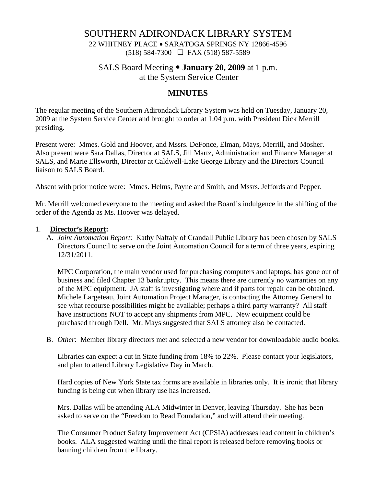# SOUTHERN ADIRONDACK LIBRARY SYSTEM

22 WHITNEY PLACE • SARATOGA SPRINGS NY 12866-4596 (518) 584-7300 FAX (518) 587-5589

### SALS Board Meeting • **January 20, 2009** at 1 p.m.

at the System Service Center

# **MINUTES**

The regular meeting of the Southern Adirondack Library System was held on Tuesday, January 20, 2009 at the System Service Center and brought to order at 1:04 p.m. with President Dick Merrill presiding.

Present were: Mmes. Gold and Hoover, and Mssrs. DeFonce, Elman, Mays, Merrill, and Mosher. Also present were Sara Dallas, Director at SALS, Jill Martz, Administration and Finance Manager at SALS, and Marie Ellsworth, Director at Caldwell-Lake George Library and the Directors Council liaison to SALS Board.

Absent with prior notice were: Mmes. Helms, Payne and Smith, and Mssrs. Jeffords and Pepper.

Mr. Merrill welcomed everyone to the meeting and asked the Board's indulgence in the shifting of the order of the Agenda as Ms. Hoover was delayed.

#### 1. **Director's Report:**

A. *Joint Automation Report*: Kathy Naftaly of Crandall Public Library has been chosen by SALS Directors Council to serve on the Joint Automation Council for a term of three years, expiring 12/31/2011.

MPC Corporation, the main vendor used for purchasing computers and laptops, has gone out of business and filed Chapter 13 bankruptcy. This means there are currently no warranties on any of the MPC equipment. JA staff is investigating where and if parts for repair can be obtained. Michele Largeteau, Joint Automation Project Manager, is contacting the Attorney General to see what recourse possibilities might be available; perhaps a third party warranty? All staff have instructions NOT to accept any shipments from MPC. New equipment could be purchased through Dell. Mr. Mays suggested that SALS attorney also be contacted.

B. *Other*: Member library directors met and selected a new vendor for downloadable audio books.

Libraries can expect a cut in State funding from 18% to 22%. Please contact your legislators, and plan to attend Library Legislative Day in March.

Hard copies of New York State tax forms are available in libraries only. It is ironic that library funding is being cut when library use has increased.

Mrs. Dallas will be attending ALA Midwinter in Denver, leaving Thursday. She has been asked to serve on the "Freedom to Read Foundation," and will attend their meeting.

The Consumer Product Safety Improvement Act (CPSIA) addresses lead content in children's books. ALA suggested waiting until the final report is released before removing books or banning children from the library.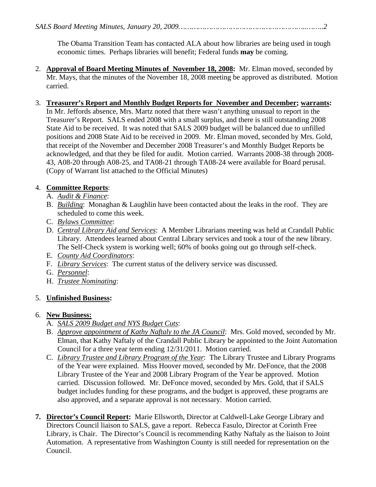The Obama Transition Team has contacted ALA about how libraries are being used in tough economic times. Perhaps libraries will benefit; Federal funds **may** be coming.

2. **Approval of Board Meeting Minutes of November 18, 2008:** Mr. Elman moved, seconded by Mr. Mays, that the minutes of the November 18, 2008 meeting be approved as distributed. Motion carried.

## 3. **Treasurer's Report and Monthly Budget Reports for November and December; warrants:**

In Mr. Jeffords absence, Mrs. Martz noted that there wasn't anything unusual to report in the Treasurer's Report. SALS ended 2008 with a small surplus, and there is still outstanding 2008 State Aid to be received. It was noted that SALS 2009 budget will be balanced due to unfilled positions and 2008 State Aid to be received in 2009. Mr. Elman moved, seconded by Mrs. Gold, that receipt of the November and December 2008 Treasurer's and Monthly Budget Reports be acknowledged, and that they be filed for audit. Motion carried. Warrants 2008-38 through 2008- 43, A08-20 through A08-25, and TA08-21 through TA08-24 were available for Board perusal. (Copy of Warrant list attached to the Official Minutes)

## 4. **Committee Reports**:

- A. *Audit & Finance*:
- B. *Building*: Monaghan & Laughlin have been contacted about the leaks in the roof. They are scheduled to come this week.
- C. *Bylaws Committee*:
- D. *Central Library Aid and Services*: A Member Librarians meeting was held at Crandall Public Library. Attendees learned about Central Library services and took a tour of the new library. The Self-Check system is working well; 60% of books going out go through self-check.
- E. *County Aid Coordinators*:
- F. *Library Services*: The current status of the delivery service was discussed.
- G. *Personnel*:
- H. *Trustee Nominating*:

## 5. **Unfinished Business:**

#### 6. **New Business:**

- A. *SALS 2009 Budget and NYS Budget Cuts*:
- B. *Approve appointment of Kathy Naftaly to the JA Council*: Mrs. Gold moved, seconded by Mr. Elman, that Kathy Naftaly of the Crandall Public Library be appointed to the Joint Automation Council for a three year term ending 12/31/2011. Motion carried.
- C. *Library Trustee and Library Program of the Year*: The Library Trustee and Library Programs of the Year were explained. Miss Hoover moved, seconded by Mr. DeFonce, that the 2008 Library Trustee of the Year and 2008 Library Program of the Year be approved. Motion carried. Discussion followed. Mr. DeFonce moved, seconded by Mrs. Gold, that if SALS budget includes funding for these programs, and the budget is approved, these programs are also approved, and a separate approval is not necessary. Motion carried.
- **7. Director's Council Report:** Marie Ellsworth, Director at Caldwell-Lake George Library and Directors Council liaison to SALS, gave a report. Rebecca Fasulo, Director at Corinth Free Library, is Chair. The Director's Council is recommending Kathy Naftaly as the liaison to Joint Automation. A representative from Washington County is still needed for representation on the Council.